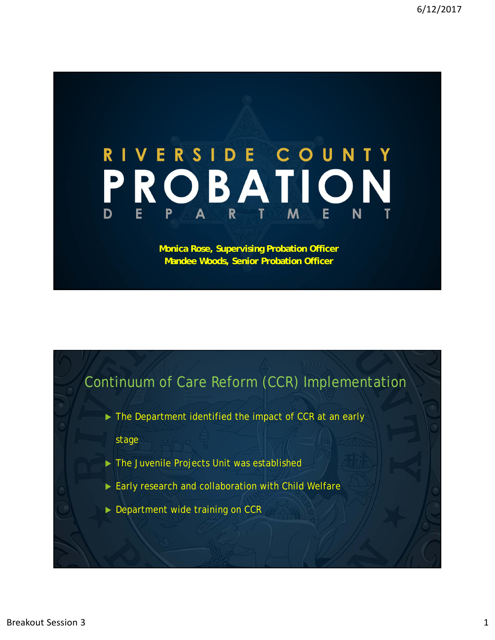## RIVERSIDE COUNTY PROBATION  $R$  T M  $P$  $E$ E N A

## **Monica Rose, Supervising Probation Officer Mandee Woods, Senior Probation Officer**

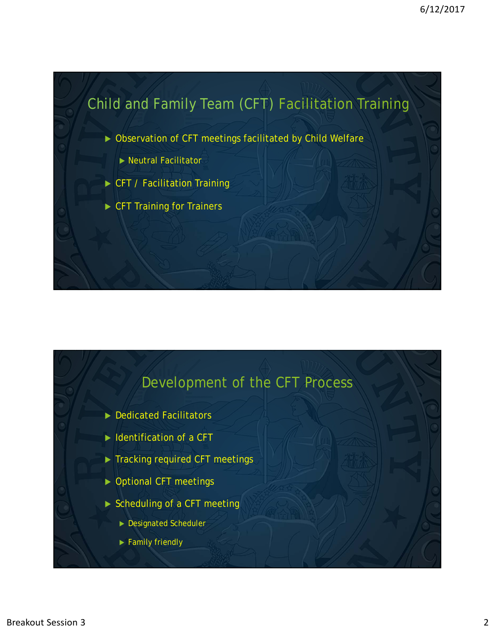

![](_page_1_Figure_2.jpeg)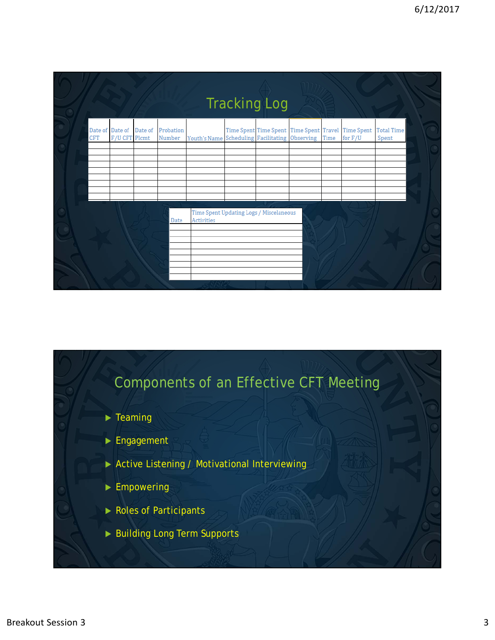|     |                                          |                     |                                                              | <b>Tracking Log</b> |  |                                                                 |                            |
|-----|------------------------------------------|---------------------|--------------------------------------------------------------|---------------------|--|-----------------------------------------------------------------|----------------------------|
| CFT | Date of Date of Date of<br>F/U CFT Plcmt | Probation<br>Number | Youth's Name Scheduling Facilitating Observing Time          |                     |  | Time Spent Time Spent Time Spent Travel Time Spent<br>for $F/U$ | <b>Total Time</b><br>Spent |
|     |                                          |                     |                                                              |                     |  |                                                                 |                            |
|     |                                          |                     |                                                              |                     |  |                                                                 |                            |
|     |                                          |                     |                                                              |                     |  |                                                                 |                            |
|     |                                          | Date                | Time Spent Updating Logs / Miscelaneous<br><b>Activities</b> |                     |  |                                                                 |                            |
|     |                                          |                     |                                                              |                     |  |                                                                 |                            |

![](_page_2_Figure_2.jpeg)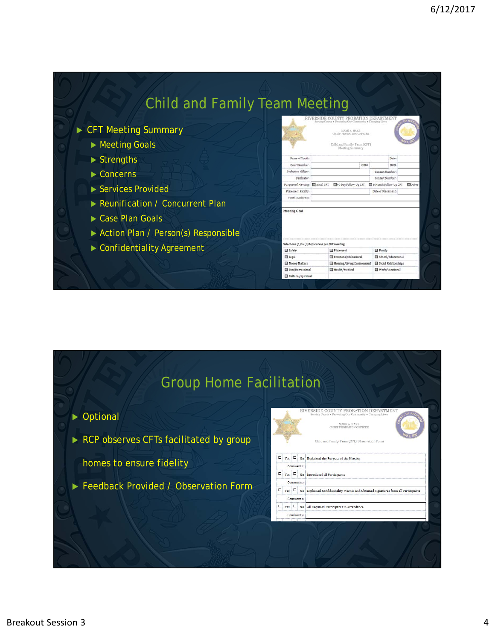## Child and Family Team Meeting **INTY PROBATION DEPART** CFT Meeting Summary MARK A. HAKE<br>CHIEF PROBATION OFFICER ▶ Meeting Goals Child and Family Team (CFT)<br>Meeting Summary ▶ Strengths Name of Youti è.  $CIDa$ Probation Officers Concerns Contact Number Facilitator Contact Number Purpose of Meeting: **Illinitial CFT** ■90 Day Follow Up CFT ■ e Month Follow Up CFT ■Othe ▶ Services Provided Placement Facility Date of Placements Youth's Address Reunification / Concurrent Plan Meeting Goal: ▶ Case Plan Goals Action Plan / Person(s) Responsible Select one (1) to (3) topic areas per CFT meeting Confidentiality Agreement Safety **El Family** Placement **El** Legal Emotional/Behavioral School/Educational **El Money Matters** Housing/Living Environment El Social Relationships Fun/Recreational Health/Medical Work/Vocational

Cultural/Spiritual

## Group Home Facilitation

Optional

RCP observes CFTs facilitated by group

homes to ensure fidelity

**Feedback Provided / Observation Form** 

![](_page_3_Picture_7.jpeg)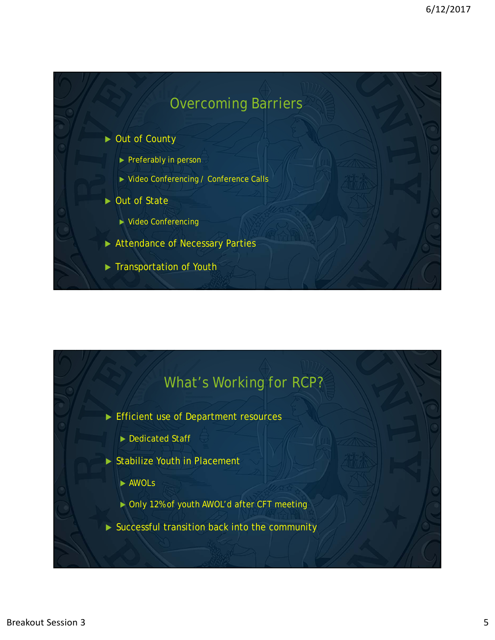![](_page_4_Figure_1.jpeg)

![](_page_4_Figure_2.jpeg)